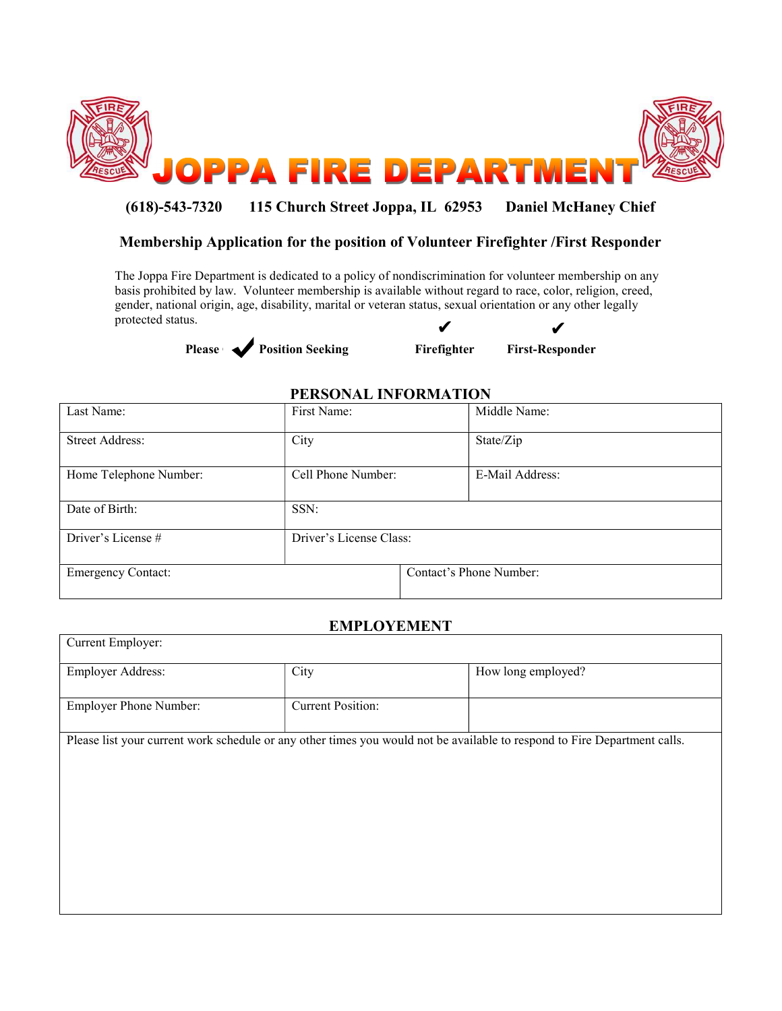

# (618)-543-7320 115 Church Street Joppa, IL 62953 Daniel McHaney Chief

## Membership Application for the position of Volunteer Firefighter /First Responder

The Joppa Fire Department is dedicated to a policy of nondiscrimination for volunteer membership on any basis prohibited by law. Volunteer membership is available without regard to race, color, religion, creed, gender, national origin, age, disability, marital or veteran status, sexual orientation or any other legally protected status.  $\boldsymbol{\nu}$ 





### PERSONAL INFORMATION

| Last Name:                | First Name:             | Middle Name:            |
|---------------------------|-------------------------|-------------------------|
| <b>Street Address:</b>    | City                    | State/Zip               |
| Home Telephone Number:    | Cell Phone Number:      | E-Mail Address:         |
| Date of Birth:            | SSN:                    |                         |
| Driver's License #        | Driver's License Class: |                         |
| <b>Emergency Contact:</b> |                         | Contact's Phone Number: |

#### EMPLOYEMENT

| Current Employer:                                                                                                         |                          |                    |  |  |
|---------------------------------------------------------------------------------------------------------------------------|--------------------------|--------------------|--|--|
| Employer Address:                                                                                                         | City                     | How long employed? |  |  |
|                                                                                                                           |                          |                    |  |  |
| <b>Employer Phone Number:</b>                                                                                             | <b>Current Position:</b> |                    |  |  |
|                                                                                                                           |                          |                    |  |  |
| Please list your current work schedule or any other times you would not be available to respond to Fire Department calls. |                          |                    |  |  |